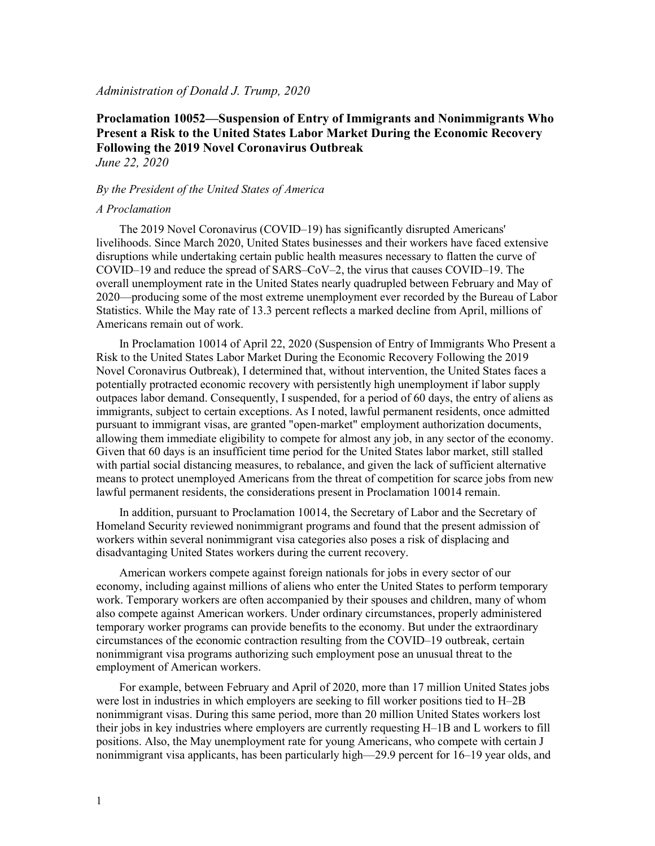### *Administration of Donald J. Trump, 2020*

# **Proclamation 10052—Suspension of Entry of Immigrants and Nonimmigrants Who Present a Risk to the United States Labor Market During the Economic Recovery Following the 2019 Novel Coronavirus Outbreak** *June 22, 2020*

#### *By the President of the United States of America*

#### *A Proclamation*

The 2019 Novel Coronavirus (COVID–19) has significantly disrupted Americans' livelihoods. Since March 2020, United States businesses and their workers have faced extensive disruptions while undertaking certain public health measures necessary to flatten the curve of COVID–19 and reduce the spread of SARS–CoV–2, the virus that causes COVID–19. The overall unemployment rate in the United States nearly quadrupled between February and May of 2020—producing some of the most extreme unemployment ever recorded by the Bureau of Labor Statistics. While the May rate of 13.3 percent reflects a marked decline from April, millions of Americans remain out of work.

In Proclamation 10014 of April 22, 2020 (Suspension of Entry of Immigrants Who Present a Risk to the United States Labor Market During the Economic Recovery Following the 2019 Novel Coronavirus Outbreak), I determined that, without intervention, the United States faces a potentially protracted economic recovery with persistently high unemployment if labor supply outpaces labor demand. Consequently, I suspended, for a period of 60 days, the entry of aliens as immigrants, subject to certain exceptions. As I noted, lawful permanent residents, once admitted pursuant to immigrant visas, are granted "open-market" employment authorization documents, allowing them immediate eligibility to compete for almost any job, in any sector of the economy. Given that 60 days is an insufficient time period for the United States labor market, still stalled with partial social distancing measures, to rebalance, and given the lack of sufficient alternative means to protect unemployed Americans from the threat of competition for scarce jobs from new lawful permanent residents, the considerations present in Proclamation 10014 remain.

In addition, pursuant to Proclamation 10014, the Secretary of Labor and the Secretary of Homeland Security reviewed nonimmigrant programs and found that the present admission of workers within several nonimmigrant visa categories also poses a risk of displacing and disadvantaging United States workers during the current recovery.

American workers compete against foreign nationals for jobs in every sector of our economy, including against millions of aliens who enter the United States to perform temporary work. Temporary workers are often accompanied by their spouses and children, many of whom also compete against American workers. Under ordinary circumstances, properly administered temporary worker programs can provide benefits to the economy. But under the extraordinary circumstances of the economic contraction resulting from the COVID–19 outbreak, certain nonimmigrant visa programs authorizing such employment pose an unusual threat to the employment of American workers.

For example, between February and April of 2020, more than 17 million United States jobs were lost in industries in which employers are seeking to fill worker positions tied to H–2B nonimmigrant visas. During this same period, more than 20 million United States workers lost their jobs in key industries where employers are currently requesting H–1B and L workers to fill positions. Also, the May unemployment rate for young Americans, who compete with certain J nonimmigrant visa applicants, has been particularly high—29.9 percent for 16–19 year olds, and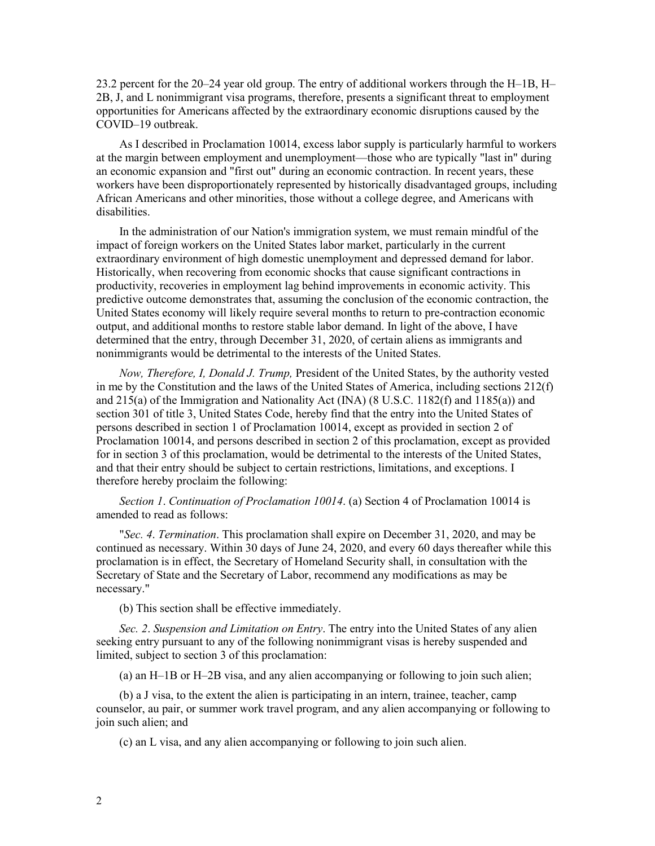23.2 percent for the 20–24 year old group. The entry of additional workers through the H–1B, H– 2B, J, and L nonimmigrant visa programs, therefore, presents a significant threat to employment opportunities for Americans affected by the extraordinary economic disruptions caused by the COVID–19 outbreak.

As I described in Proclamation 10014, excess labor supply is particularly harmful to workers at the margin between employment and unemployment—those who are typically "last in" during an economic expansion and "first out" during an economic contraction. In recent years, these workers have been disproportionately represented by historically disadvantaged groups, including African Americans and other minorities, those without a college degree, and Americans with disabilities.

In the administration of our Nation's immigration system, we must remain mindful of the impact of foreign workers on the United States labor market, particularly in the current extraordinary environment of high domestic unemployment and depressed demand for labor. Historically, when recovering from economic shocks that cause significant contractions in productivity, recoveries in employment lag behind improvements in economic activity. This predictive outcome demonstrates that, assuming the conclusion of the economic contraction, the United States economy will likely require several months to return to pre-contraction economic output, and additional months to restore stable labor demand. In light of the above, I have determined that the entry, through December 31, 2020, of certain aliens as immigrants and nonimmigrants would be detrimental to the interests of the United States.

*Now, Therefore, I, Donald J. Trump,* President of the United States, by the authority vested in me by the Constitution and the laws of the United States of America, including sections 212(f) and 215(a) of the Immigration and Nationality Act (INA) (8 U.S.C. 1182(f) and 1185(a)) and section 301 of title 3, United States Code, hereby find that the entry into the United States of persons described in section 1 of Proclamation 10014, except as provided in section 2 of Proclamation 10014, and persons described in section 2 of this proclamation, except as provided for in section 3 of this proclamation, would be detrimental to the interests of the United States, and that their entry should be subject to certain restrictions, limitations, and exceptions. I therefore hereby proclaim the following:

*Section 1*. *Continuation of Proclamation 10014*. (a) Section 4 of Proclamation 10014 is amended to read as follows:

"*Sec. 4*. *Termination*. This proclamation shall expire on December 31, 2020, and may be continued as necessary. Within 30 days of June 24, 2020, and every 60 days thereafter while this proclamation is in effect, the Secretary of Homeland Security shall, in consultation with the Secretary of State and the Secretary of Labor, recommend any modifications as may be necessary."

(b) This section shall be effective immediately.

*Sec. 2*. *Suspension and Limitation on Entry*. The entry into the United States of any alien seeking entry pursuant to any of the following nonimmigrant visas is hereby suspended and limited, subject to section 3 of this proclamation:

(a) an H–1B or H–2B visa, and any alien accompanying or following to join such alien;

(b) a J visa, to the extent the alien is participating in an intern, trainee, teacher, camp counselor, au pair, or summer work travel program, and any alien accompanying or following to join such alien; and

(c) an L visa, and any alien accompanying or following to join such alien.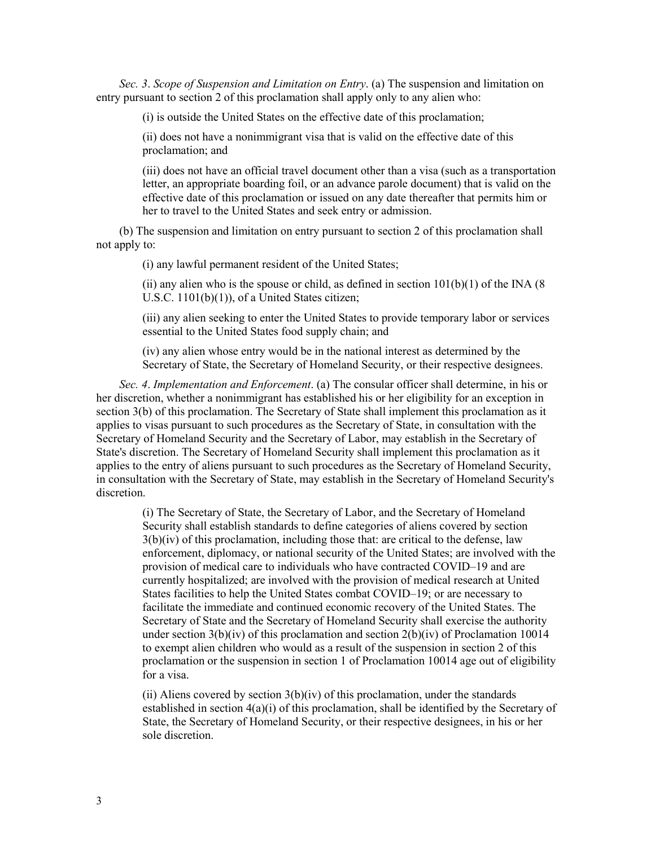*Sec. 3*. *Scope of Suspension and Limitation on Entry*. (a) The suspension and limitation on entry pursuant to section 2 of this proclamation shall apply only to any alien who:

(i) is outside the United States on the effective date of this proclamation;

(ii) does not have a nonimmigrant visa that is valid on the effective date of this proclamation; and

(iii) does not have an official travel document other than a visa (such as a transportation letter, an appropriate boarding foil, or an advance parole document) that is valid on the effective date of this proclamation or issued on any date thereafter that permits him or her to travel to the United States and seek entry or admission.

(b) The suspension and limitation on entry pursuant to section 2 of this proclamation shall not apply to:

(i) any lawful permanent resident of the United States;

(ii) any alien who is the spouse or child, as defined in section  $101(b)(1)$  of the INA (8) U.S.C. 1101(b)(1)), of a United States citizen;

(iii) any alien seeking to enter the United States to provide temporary labor or services essential to the United States food supply chain; and

(iv) any alien whose entry would be in the national interest as determined by the Secretary of State, the Secretary of Homeland Security, or their respective designees.

*Sec. 4*. *Implementation and Enforcement*. (a) The consular officer shall determine, in his or her discretion, whether a nonimmigrant has established his or her eligibility for an exception in section 3(b) of this proclamation. The Secretary of State shall implement this proclamation as it applies to visas pursuant to such procedures as the Secretary of State, in consultation with the Secretary of Homeland Security and the Secretary of Labor, may establish in the Secretary of State's discretion. The Secretary of Homeland Security shall implement this proclamation as it applies to the entry of aliens pursuant to such procedures as the Secretary of Homeland Security, in consultation with the Secretary of State, may establish in the Secretary of Homeland Security's discretion.

(i) The Secretary of State, the Secretary of Labor, and the Secretary of Homeland Security shall establish standards to define categories of aliens covered by section  $3(b)(iv)$  of this proclamation, including those that: are critical to the defense, law enforcement, diplomacy, or national security of the United States; are involved with the provision of medical care to individuals who have contracted COVID–19 and are currently hospitalized; are involved with the provision of medical research at United States facilities to help the United States combat COVID–19; or are necessary to facilitate the immediate and continued economic recovery of the United States. The Secretary of State and the Secretary of Homeland Security shall exercise the authority under section  $3(b)(iv)$  of this proclamation and section  $2(b)(iv)$  of Proclamation 10014 to exempt alien children who would as a result of the suspension in section 2 of this proclamation or the suspension in section 1 of Proclamation 10014 age out of eligibility for a visa.

(ii) Aliens covered by section  $3(b)(iv)$  of this proclamation, under the standards established in section  $4(a)(i)$  of this proclamation, shall be identified by the Secretary of State, the Secretary of Homeland Security, or their respective designees, in his or her sole discretion.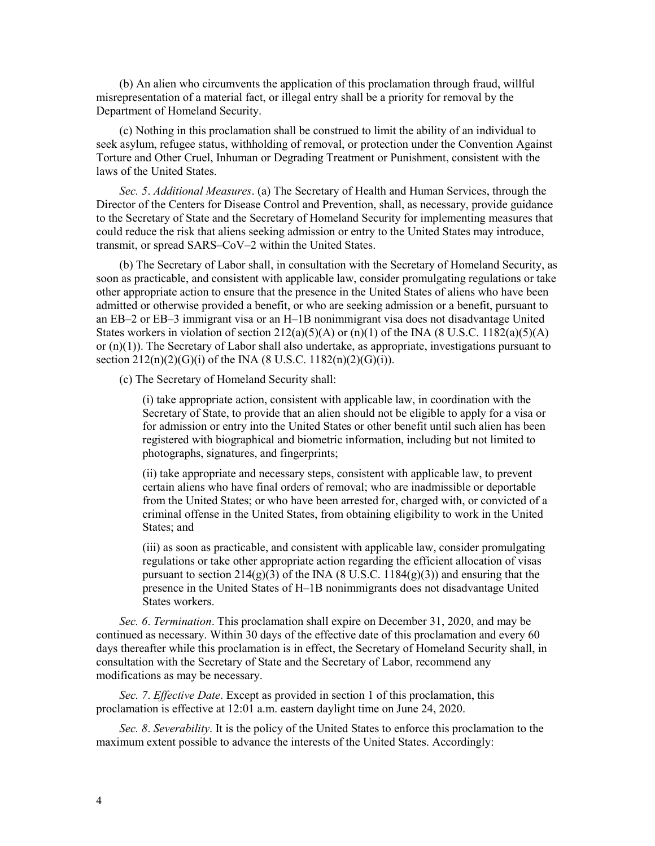(b) An alien who circumvents the application of this proclamation through fraud, willful misrepresentation of a material fact, or illegal entry shall be a priority for removal by the Department of Homeland Security.

(c) Nothing in this proclamation shall be construed to limit the ability of an individual to seek asylum, refugee status, withholding of removal, or protection under the Convention Against Torture and Other Cruel, Inhuman or Degrading Treatment or Punishment, consistent with the laws of the United States.

*Sec. 5*. *Additional Measures*. (a) The Secretary of Health and Human Services, through the Director of the Centers for Disease Control and Prevention, shall, as necessary, provide guidance to the Secretary of State and the Secretary of Homeland Security for implementing measures that could reduce the risk that aliens seeking admission or entry to the United States may introduce, transmit, or spread SARS–CoV–2 within the United States.

(b) The Secretary of Labor shall, in consultation with the Secretary of Homeland Security, as soon as practicable, and consistent with applicable law, consider promulgating regulations or take other appropriate action to ensure that the presence in the United States of aliens who have been admitted or otherwise provided a benefit, or who are seeking admission or a benefit, pursuant to an EB–2 or EB–3 immigrant visa or an H–1B nonimmigrant visa does not disadvantage United States workers in violation of section  $212(a)(5)(A)$  or  $(n)(1)$  of the INA (8 U.S.C. 1182(a)(5)(A) or  $(n)(1)$ ). The Secretary of Labor shall also undertake, as appropriate, investigations pursuant to section  $212(n)(2)(G)(i)$  of the INA (8 U.S.C.  $1182(n)(2)(G)(i)$ ).

(c) The Secretary of Homeland Security shall:

(i) take appropriate action, consistent with applicable law, in coordination with the Secretary of State, to provide that an alien should not be eligible to apply for a visa or for admission or entry into the United States or other benefit until such alien has been registered with biographical and biometric information, including but not limited to photographs, signatures, and fingerprints;

(ii) take appropriate and necessary steps, consistent with applicable law, to prevent certain aliens who have final orders of removal; who are inadmissible or deportable from the United States; or who have been arrested for, charged with, or convicted of a criminal offense in the United States, from obtaining eligibility to work in the United States; and

(iii) as soon as practicable, and consistent with applicable law, consider promulgating regulations or take other appropriate action regarding the efficient allocation of visas pursuant to section  $214(g)(3)$  of the INA (8 U.S.C.  $1184(g)(3)$ ) and ensuring that the presence in the United States of H–1B nonimmigrants does not disadvantage United States workers.

*Sec. 6*. *Termination*. This proclamation shall expire on December 31, 2020, and may be continued as necessary. Within 30 days of the effective date of this proclamation and every 60 days thereafter while this proclamation is in effect, the Secretary of Homeland Security shall, in consultation with the Secretary of State and the Secretary of Labor, recommend any modifications as may be necessary.

*Sec. 7*. *Effective Date*. Except as provided in section 1 of this proclamation, this proclamation is effective at 12:01 a.m. eastern daylight time on June 24, 2020.

*Sec. 8*. *Severability*. It is the policy of the United States to enforce this proclamation to the maximum extent possible to advance the interests of the United States. Accordingly: